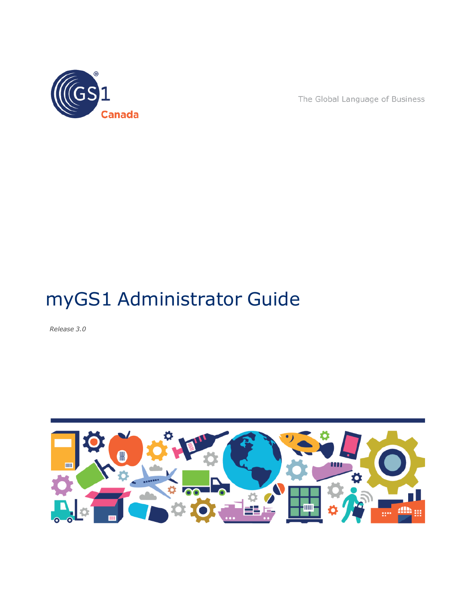

The Global Language of Business

# myGS1 Administrator Guide

*Release 3.0*

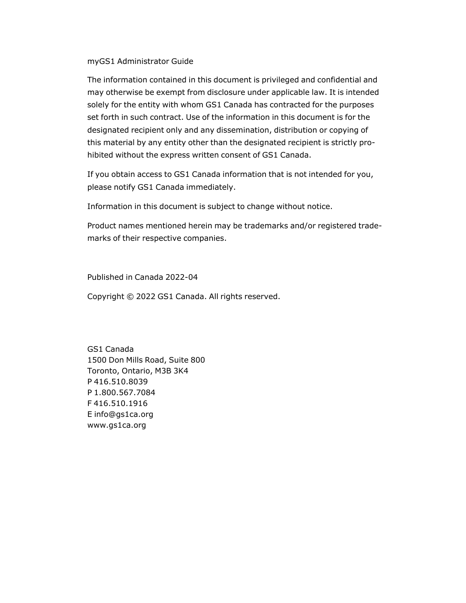#### myGS1 Administrator Guide

The information contained in this document is privileged and confidential and may otherwise be exempt from disclosure under applicable law. It is intended solely for the entity with whom GS1 Canada has contracted for the purposes set forth in such contract. Use of the information in this document is for the designated recipient only and any dissemination, distribution or copying of this material by any entity other than the designated recipient is strictly prohibited without the express written consent of GS1 Canada.

If you obtain access to GS1 Canada information that is not intended for you, please notify GS1 Canada immediately.

Information in this document is subject to change without notice.

Product names mentioned herein may be trademarks and/or registered trademarks of their respective companies.

Published in Canada 2022-04

Copyright © 2022 GS1 Canada. All rights reserved.

GS1 Canada 1500 Don Mills Road, Suite 800 Toronto, Ontario, M3B 3K4 P 416.510.8039 P 1.800.567.7084 F 416.510.1916 E info@gs1ca.org www.gs1ca.org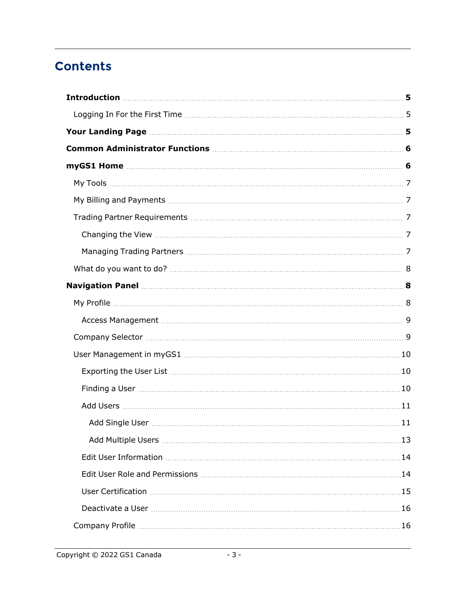# **Contents**

| Exporting the User List manufactured and the User List manufactured and the User List manufactured and the User |  |
|-----------------------------------------------------------------------------------------------------------------|--|
|                                                                                                                 |  |
|                                                                                                                 |  |
|                                                                                                                 |  |
|                                                                                                                 |  |
|                                                                                                                 |  |
|                                                                                                                 |  |
|                                                                                                                 |  |
|                                                                                                                 |  |
|                                                                                                                 |  |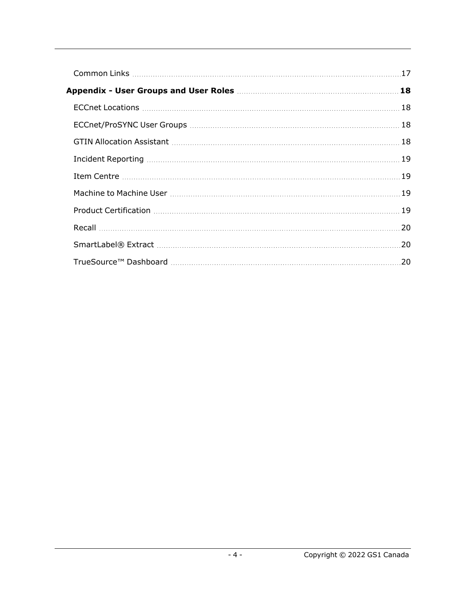| 18 |
|----|
|    |
|    |
|    |
|    |
|    |
|    |
|    |
| 20 |
| 20 |
| 20 |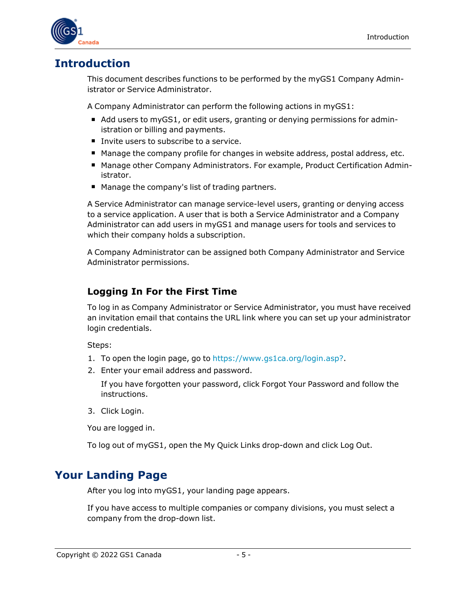

# <span id="page-4-0"></span>**Introduction**

This document describes functions to be performed by the myGS1 Company Administrator or Service Administrator.

A Company Administrator can perform the following actions in myGS1:

- Add users to myGS1, or edit users, granting or denying permissions for administration or billing and payments.
- Invite users to subscribe to a service.
- Manage the company profile for changes in website address, postal address, etc.
- Manage other Company Administrators. For example, Product Certification Administrator.
- Manage the company's list of trading partners.

A Service Administrator can manage service-level users, granting or denying access to a service application. A user that is both a Service Administrator and a Company Administrator can add users in myGS1 and manage users for tools and services to which their company holds a subscription.

A Company Administrator can be assigned both Company Administrator and Service Administrator permissions.

# <span id="page-4-1"></span>**Logging In For the First Time**

To log in as Company Administrator or Service Administrator, you must have received an invitation email that contains the URL link where you can set up your administrator login credentials.

Steps:

- 1. To open the login page, go to <https://www.gs1ca.org/login.asp?>.
- 2. Enter your email address and password.

If you have forgotten your password, click Forgot Your Password and follow the instructions.

3. Click Login.

You are logged in.

To log out of myGS1, open the My Quick Links drop-down and click Log Out.

# <span id="page-4-2"></span>**Your Landing Page**

After you log into myGS1, your landing page appears.

If you have access to multiple companies or company divisions, you must select a company from the drop-down list.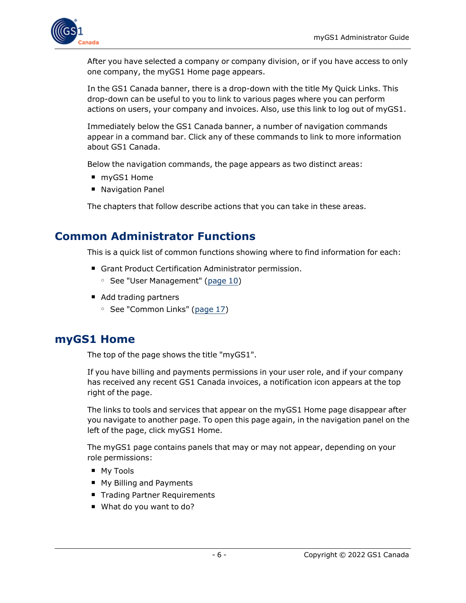

After you have selected a company or company division, or if you have access to only one company, the myGS1 Home page appears.

In the GS1 Canada banner, there is a drop-down with the title My Quick Links. This drop-down can be useful to you to link to various pages where you can perform actions on users, your company and invoices. Also, use this link to log out of myGS1.

Immediately below the GS1 Canada banner, a number of navigation commands appear in a command bar. Click any of these commands to link to more information about GS1 Canada.

Below the navigation commands, the page appears as two distinct areas:

- myGS1 Home
- **Navigation Panel**

The chapters that follow describe actions that you can take in these areas.

# <span id="page-5-0"></span>**Common Administrator Functions**

This is a quick list of common functions showing where to find information for each:

- **F** Grant Product Certification Administrator permission.
	- <sup>o</sup> See "User Management" [\(page](#page-9-0) 10)
- Add trading partners
	- See "Common Links" [\(page](#page-16-0) 17)

### <span id="page-5-1"></span>**myGS1 Home**

The top of the page shows the title "myGS1".

If you have billing and payments permissions in your user role, and if your company has received any recent GS1 Canada invoices, a notification icon appears at the top right of the page.

The links to tools and services that appear on the myGS1 Home page disappear after you navigate to another page. To open this page again, in the navigation panel on the left of the page, click myGS1 Home.

The myGS1 page contains panels that may or may not appear, depending on your role permissions:

- My Tools
- My Billing and Payments
- **Trading Partner Requirements**
- What do you want to do?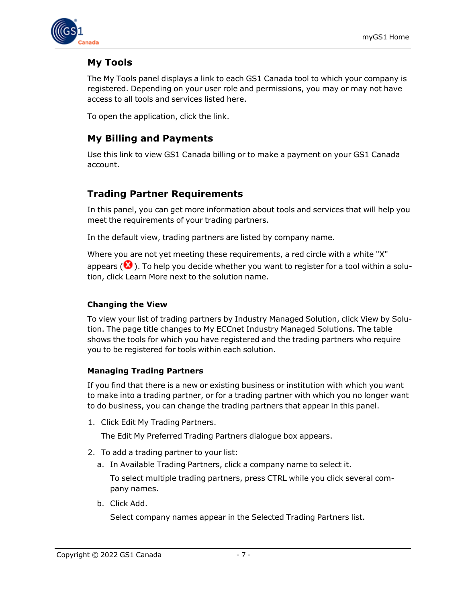

# <span id="page-6-0"></span>**My Tools**

The My Tools panel displays a link to each GS1 Canada tool to which your company is registered. Depending on your user role and permissions, you may or may not have access to all tools and services listed here.

<span id="page-6-1"></span>To open the application, click the link.

## **My Billing and Payments**

Use this link to view GS1 Canada billing or to make a payment on your GS1 Canada account.

# <span id="page-6-2"></span>**Trading Partner Requirements**

In this panel, you can get more information about tools and services that will help you meet the requirements of your trading partners.

In the default view, trading partners are listed by company name.

Where you are not yet meeting these requirements, a red circle with a white "X" appears ( $\bullet$ ). To help you decide whether you want to register for a tool within a solution, click Learn More next to the solution name.

#### <span id="page-6-3"></span>**Changing the View**

To view your list of trading partners by Industry Managed Solution, click View by Solution. The page title changes to My ECCnet Industry Managed Solutions. The table shows the tools for which you have registered and the trading partners who require you to be registered for tools within each solution.

#### <span id="page-6-4"></span>**Managing Trading Partners**

If you find that there is a new or existing business or institution with which you want to make into a trading partner, or for a trading partner with which you no longer want to do business, you can change the trading partners that appear in this panel.

1. Click Edit My Trading Partners.

The Edit My Preferred Trading Partners dialogue box appears.

- 2. To add a trading partner to your list:
	- a. In Available Trading Partners, click a company name to select it.

To select multiple trading partners, press CTRL while you click several company names.

b. Click Add.

Select company names appear in the Selected Trading Partners list.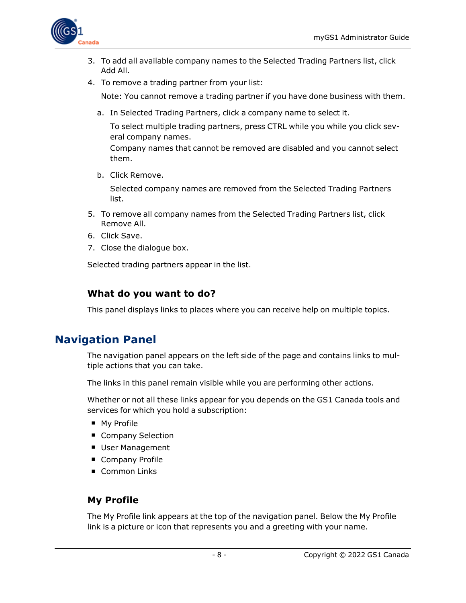

- 3. To add all available company names to the Selected Trading Partners list, click Add All.
- 4. To remove a trading partner from your list:

Note: You cannot remove a trading partner if you have done business with them.

a. In Selected Trading Partners, click a company name to select it.

To select multiple trading partners, press CTRL while you while you click several company names.

Company names that cannot be removed are disabled and you cannot select them.

b. Click Remove.

Selected company names are removed from the Selected Trading Partners list.

- 5. To remove all company names from the Selected Trading Partners list, click Remove All.
- 6. Click Save.
- 7. Close the dialogue box.

Selected trading partners appear in the list.

### <span id="page-7-0"></span>**What do you want to do?**

This panel displays links to places where you can receive help on multiple topics.

# <span id="page-7-1"></span>**Navigation Panel**

The navigation panel appears on the left side of the page and contains links to multiple actions that you can take.

The links in this panel remain visible while you are performing other actions.

Whether or not all these links appear for you depends on the GS1 Canada tools and services for which you hold a subscription:

- My Profile
- **Company Selection**
- **User Management**
- **Company Profile**
- Common Links

### <span id="page-7-2"></span>**My Profile**

The My Profile link appears at the top of the navigation panel. Below the My Profile link is a picture or icon that represents you and a greeting with your name.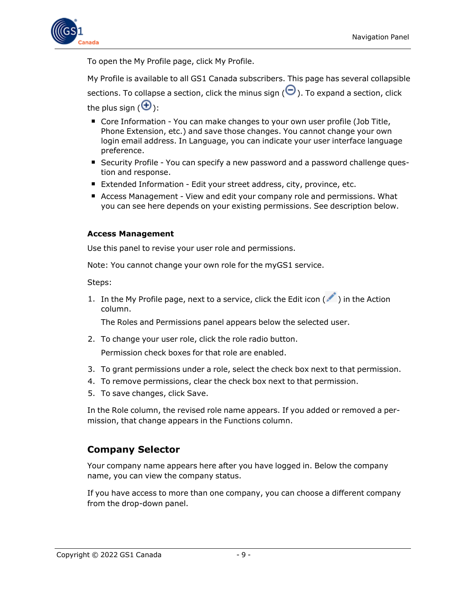

To open the My Profile page, click My Profile.

My Profile is available to all GS1 Canada subscribers. This page has several collapsible

sections. To collapse a section, click the minus sign  $\Theta$ ). To expand a section, click the plus sign  $(\mathbf{\Theta})$ :

- Core Information You can make changes to your own user profile (Job Title, Phone Extension, etc.) and save those changes. You cannot change your own login email address. In Language, you can indicate your user interface language preference.
- Security Profile You can specify a new password and a password challenge question and response.
- Extended Information Edit your street address, city, province, etc.
- **E** Access Management View and edit your company role and permissions. What you can see here depends on your existing permissions. See description below.

#### <span id="page-8-0"></span>**Access Management**

Use this panel to revise your user role and permissions.

Note: You cannot change your own role for the myGS1 service.

Steps:

1. In the My Profile page, next to a service, click the Edit icon  $($   $)$  in the Action column.

The Roles and Permissions panel appears below the selected user.

2. To change your user role, click the role radio button.

Permission check boxes for that role are enabled.

- 3. To grant permissions under a role, select the check box next to that permission.
- 4. To remove permissions, clear the check box next to that permission.
- 5. To save changes, click Save.

In the Role column, the revised role name appears. If you added or removed a permission, that change appears in the Functions column.

### <span id="page-8-1"></span>**Company Selector**

Your company name appears here after you have logged in. Below the company name, you can view the company status.

If you have access to more than one company, you can choose a different company from the drop-down panel.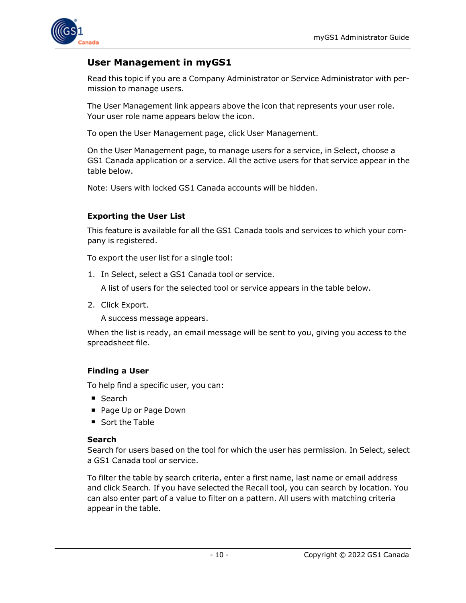

# <span id="page-9-0"></span>**User Management in myGS1**

Read this topic if you are a Company Administrator or Service Administrator with permission to manage users.

The User Management link appears above the icon that represents your user role. Your user role name appears below the icon.

To open the User Management page, click User Management.

On the User Management page, to manage users for a service, in Select, choose a GS1 Canada application or a service. All the active users for that service appear in the table below.

Note: Users with locked GS1 Canada accounts will be hidden.

#### <span id="page-9-1"></span>**Exporting the User List**

This feature is available for all the GS1 Canada tools and services to which your company is registered.

To export the user list for a single tool:

1. In Select, select a GS1 Canada tool or service.

A list of users for the selected tool or service appears in the table below.

2. Click Export.

A success message appears.

When the list is ready, an email message will be sent to you, giving you access to the spreadsheet file.

#### <span id="page-9-2"></span>**Finding a User**

To help find a specific user, you can:

- Search
- Page Up or Page Down
- Sort the Table

#### **Search**

Search for users based on the tool for which the user has permission. In Select, select a GS1 Canada tool or service.

To filter the table by search criteria, enter a first name, last name or email address and click Search. If you have selected the Recall tool, you can search by location. You can also enter part of a value to filter on a pattern. All users with matching criteria appear in the table.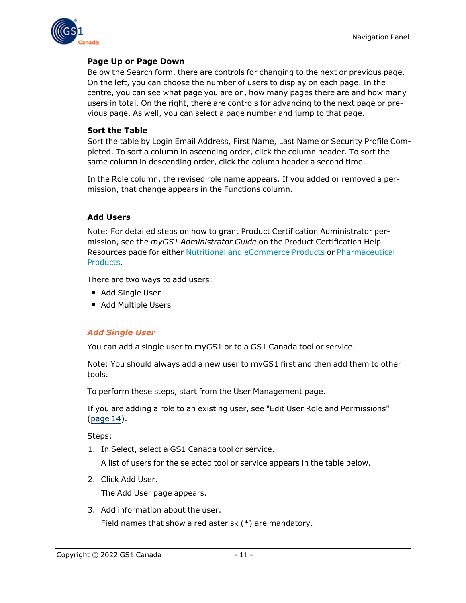

#### **Page Up or Page Down**

Below the Search form, there are controls for changing to the next or previous page. On the left, you can choose the number of users to display on each page. In the centre, you can see what page you are on, how many pages there are and how many users in total. On the right, there are controls for advancing to the next page or previous page. As well, you can select a page number and jump to that page.

#### **Sort the Table**

Sort the table by Login Email Address, First Name, Last Name or Security Profile Completed. To sort a column in ascending order, click the column header. To sort the same column in descending order, click the column header a second time.

In the Role column, the revised role name appears. If you added or removed a permission, that change appears in the Functions column.

#### <span id="page-10-0"></span>**Add Users**

Note: For detailed steps on how to grant Product Certification Administrator permission, see the *myGS1 Administrator Guide* on the Product Certification Help Resources page for either Nutritional and [eCommerce](http://www.gs1ca.org/files/IC_TPC/help2.html) Products or [Pharmaceutical](http://www.gs1ca.org/files/IC_Pharmaceutical/help2.html) [Products](http://www.gs1ca.org/files/IC_Pharmaceutical/help2.html).

There are two ways to add users:

- Add Single User
- Add Multiple Users

#### <span id="page-10-1"></span>*Add Single User*

You can add a single user to myGS1 or to a GS1 Canada tool or service.

Note: You should always add a new user to myGS1 first and then add them to other tools.

To perform these steps, start from the User Management page.

If you are adding a role to an existing user, see "Edit User Role and Permissions" [\(page](#page-13-1) 14).

Steps:

1. In Select, select a GS1 Canada tool or service.

A list of users for the selected tool or service appears in the table below.

2. Click Add User.

The Add User page appears.

3. Add information about the user. Field names that show a red asterisk (\*) are mandatory.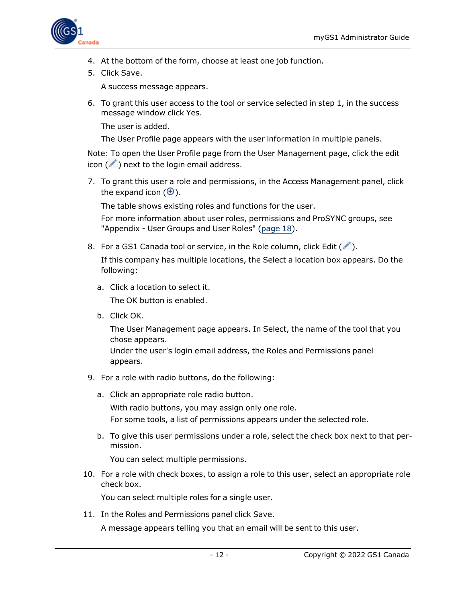

- 4. At the bottom of the form, choose at least one job function.
- 5. Click Save.

A success message appears.

6. To grant this user access to the tool or service selected in step 1, in the success message window click Yes.

The user is added.

The User Profile page appears with the user information in multiple panels.

Note: To open the User Profile page from the User Management page, click the edit  $icon$  ( $\rightarrow$ ) next to the login email address.

7. To grant this user a role and permissions, in the Access Management panel, click the expand icon  $(\oplus)$ .

The table shows existing roles and functions for the user.

For more information about user roles, permissions and ProSYNC groups, see "Appendix - User Groups and User Roles" ([page](#page-17-0) 18).

8. For a GS1 Canada tool or service, in the Role column, click Edit  $(\mathcal{I})$ .

If this company has multiple locations, the Select a location box appears. Do the following:

- a. Click a location to select it. The OK button is enabled.
- b. Click OK.

The User Management page appears. In Select, the name of the tool that you chose appears.

Under the user's login email address, the Roles and Permissions panel appears.

- 9. For a role with radio buttons, do the following:
	- a. Click an appropriate role radio button.

With radio buttons, you may assign only one role. For some tools, a list of permissions appears under the selected role.

b. To give this user permissions under a role, select the check box next to that permission.

You can select multiple permissions.

10. For a role with check boxes, to assign a role to this user, select an appropriate role check box.

You can select multiple roles for a single user.

11. In the Roles and Permissions panel click Save.

A message appears telling you that an email will be sent to this user.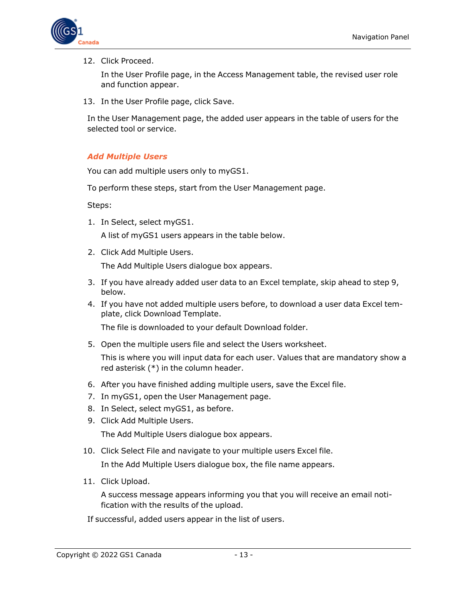

#### 12. Click Proceed.

In the User Profile page, in the Access Management table, the revised user role and function appear.

13. In the User Profile page, click Save.

In the User Management page, the added user appears in the table of users for the selected tool or service.

#### <span id="page-12-0"></span>*Add Multiple Users*

You can add multiple users only to myGS1.

To perform these steps, start from the User Management page.

Steps:

1. In Select, select myGS1.

A list of myGS1 users appears in the table below.

2. Click Add Multiple Users.

The Add Multiple Users dialogue box appears.

- 3. If you have already added user data to an Excel template, skip ahead to step 9, below.
- 4. If you have not added multiple users before, to download a user data Excel template, click Download Template.

The file is downloaded to your default Download folder.

5. Open the multiple users file and select the Users worksheet.

This is where you will input data for each user. Values that are mandatory show a red asterisk (\*) in the column header.

- 6. After you have finished adding multiple users, save the Excel file.
- 7. In myGS1, open the User Management page.
- 8. In Select, select myGS1, as before.
- 9. Click Add Multiple Users.

The Add Multiple Users dialogue box appears.

10. Click Select File and navigate to your multiple users Excel file.

In the Add Multiple Users dialogue box, the file name appears.

11. Click Upload.

A success message appears informing you that you will receive an email notification with the results of the upload.

If successful, added users appear in the list of users.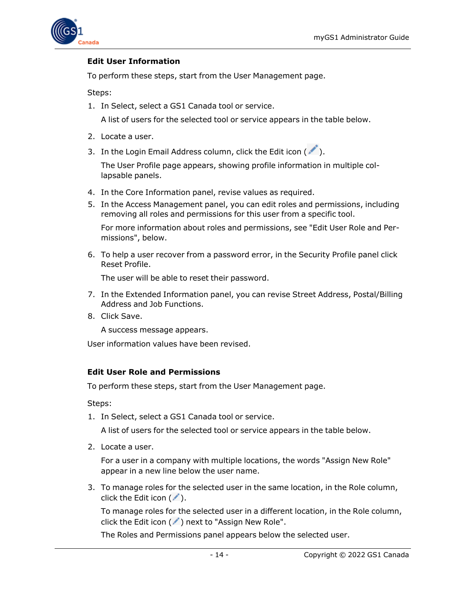

#### <span id="page-13-0"></span>**Edit User Information**

To perform these steps, start from the User Management page.

Steps:

1. In Select, select a GS1 Canada tool or service.

A list of users for the selected tool or service appears in the table below.

- 2. Locate a user.
- 3. In the Login Email Address column, click the Edit icon  $($

The User Profile page appears, showing profile information in multiple collapsable panels.

- 4. In the Core Information panel, revise values as required.
- 5. In the Access Management panel, you can edit roles and permissions, including removing all roles and permissions for this user from a specific tool.

For more information about roles and permissions, see "Edit User Role and Permissions", below.

6. To help a user recover from a password error, in the Security Profile panel click Reset Profile.

The user will be able to reset their password.

- 7. In the Extended Information panel, you can revise Street Address, Postal/Billing Address and Job Functions.
- 8. Click Save.

A success message appears.

User information values have been revised.

#### <span id="page-13-1"></span>**Edit User Role and Permissions**

To perform these steps, start from the User Management page.

Steps:

1. In Select, select a GS1 Canada tool or service.

A list of users for the selected tool or service appears in the table below.

2. Locate a user.

For a user in a company with multiple locations, the words "Assign New Role" appear in a new line below the user name.

3. To manage roles for the selected user in the same location, in the Role column, click the Edit icon  $(\nearrow)$ .

To manage roles for the selected user in a different location, in the Role column, click the Edit icon  $($   $\bullet$   $)$  next to "Assign New Role".

The Roles and Permissions panel appears below the selected user.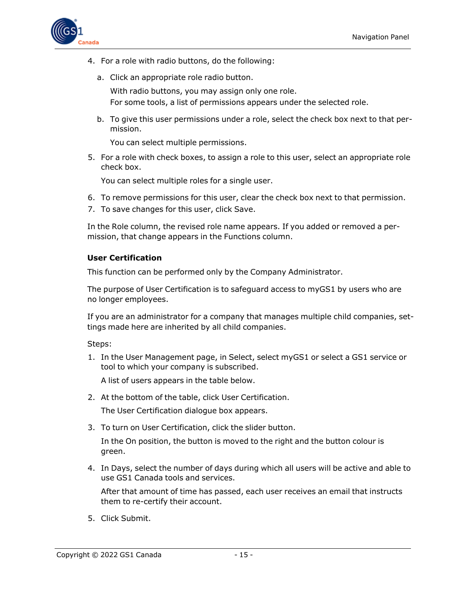

- 4. For a role with radio buttons, do the following:
	- a. Click an appropriate role radio button. With radio buttons, you may assign only one role. For some tools, a list of permissions appears under the selected role.
	- b. To give this user permissions under a role, select the check box next to that permission.

You can select multiple permissions.

5. For a role with check boxes, to assign a role to this user, select an appropriate role check box.

You can select multiple roles for a single user.

- 6. To remove permissions for this user, clear the check box next to that permission.
- 7. To save changes for this user, click Save.

In the Role column, the revised role name appears. If you added or removed a permission, that change appears in the Functions column.

#### <span id="page-14-0"></span>**User Certification**

This function can be performed only by the Company Administrator.

The purpose of User Certification is to safeguard access to myGS1 by users who are no longer employees.

If you are an administrator for a company that manages multiple child companies, settings made here are inherited by all child companies.

Steps:

1. In the User Management page, in Select, select myGS1 or select a GS1 service or tool to which your company is subscribed.

A list of users appears in the table below.

2. At the bottom of the table, click User Certification.

The User Certification dialogue box appears.

3. To turn on User Certification, click the slider button.

In the On position, the button is moved to the right and the button colour is green.

4. In Days, select the number of days during which all users will be active and able to use GS1 Canada tools and services.

After that amount of time has passed, each user receives an email that instructs them to re-certify their account.

5. Click Submit.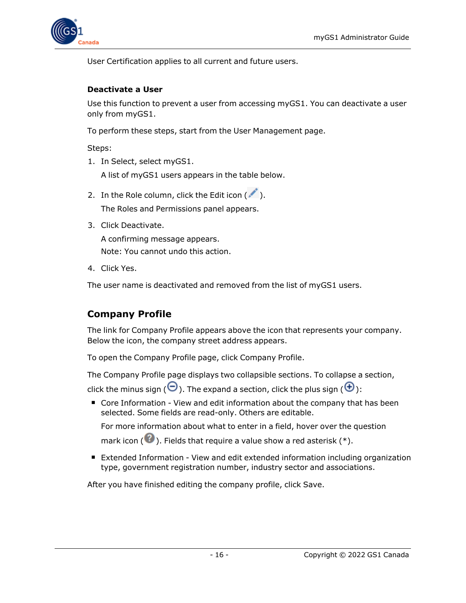

User Certification applies to all current and future users.

#### <span id="page-15-0"></span>**Deactivate a User**

Use this function to prevent a user from accessing myGS1. You can deactivate a user only from myGS1.

To perform these steps, start from the User Management page.

Steps:

- 1. In Select, select myGS1. A list of myGS1 users appears in the table below.
- 2. In the Role column, click the Edit icon  $($ . The Roles and Permissions panel appears.
- 3. Click Deactivate.

A confirming message appears. Note: You cannot undo this action.

4. Click Yes.

The user name is deactivated and removed from the list of myGS1 users.

# <span id="page-15-1"></span>**Company Profile**

The link for Company Profile appears above the icon that represents your company. Below the icon, the company street address appears.

To open the Company Profile page, click Company Profile.

The Company Profile page displays two collapsible sections. To collapse a section,

click the minus sign ( $\Theta$ ). The expand a section, click the plus sign ( $\Theta$ ):

■ Core Information - View and edit information about the company that has been selected. Some fields are read-only. Others are editable.

For more information about what to enter in a field, hover over the question

mark icon ( $\Omega$ ). Fields that require a value show a red asterisk (\*).

■ Extended Information - View and edit extended information including organization type, government registration number, industry sector and associations.

After you have finished editing the company profile, click Save.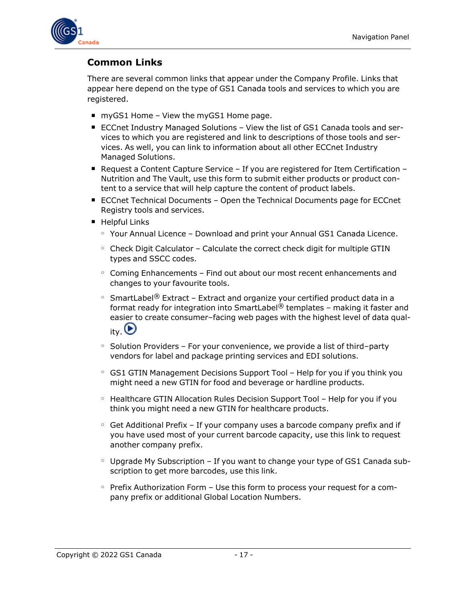

# <span id="page-16-0"></span>**Common Links**

There are several common links that appear under the Company Profile. Links that appear here depend on the type of GS1 Canada tools and services to which you are registered.

- $\blacksquare$  myGS1 Home View the myGS1 Home page.
- ECCnet Industry Managed Solutions View the list of GS1 Canada tools and services to which you are registered and link to descriptions of those tools and services. As well, you can link to information about all other ECCnet Industry Managed Solutions.
- **P** Request a Content Capture Service If you are registered for Item Certification Nutrition and The Vault, use this form to submit either products or product content to a service that will help capture the content of product labels.
- ECCnet Technical Documents Open the Technical Documents page for ECCnet Registry tools and services.
- Helpful Links
	- $\circ$  Your Annual Licence Download and print your Annual GS1 Canada Licence.
	- $\circ$  Check Digit Calculator Calculate the correct check digit for multiple GTIN types and SSCC codes.
	- $\circ$  Coming Enhancements Find out about our most recent enhancements and changes to your favourite tools.
	- $\,\circ\,$  SmartLabel® Extract Extract and organize your certified product data in a format ready for integration into SmartLabel<sup>®</sup> templates – making it faster and easier to create consumer–facing web pages with the highest level of data quality.  $\bigcirc$
	- $\circ$  Solution Providers For your convenience, we provide a list of third–party vendors for label and package printing services and EDI solutions.
	- GS1 GTIN Management Decisions Support Tool Help for you if you think you might need a new GTIN for food and beverage or hardline products.
	- Healthcare GTIN Allocation Rules Decision Support Tool Help for you if you think you might need a new GTIN for healthcare products.
	- $\circ$  Get Additional Prefix If your company uses a barcode company prefix and if you have used most of your current barcode capacity, use this link to request another company prefix.
	- $\circ$  Upgrade My Subscription If you want to change your type of GS1 Canada subscription to get more barcodes, use this link.
	- $\circ$  Prefix Authorization Form Use this form to process your request for a company prefix or additional Global Location Numbers.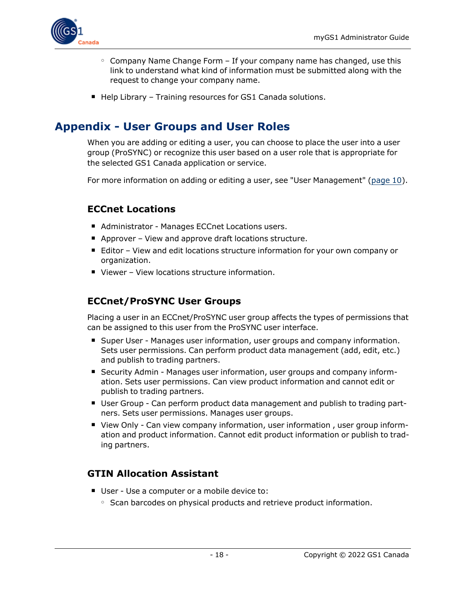

- $\circ$  Company Name Change Form If your company name has changed, use this link to understand what kind of information must be submitted along with the request to change your company name.
- $\blacksquare$  Help Library Training resources for GS1 Canada solutions.

# <span id="page-17-0"></span>**Appendix - User Groups and User Roles**

When you are adding or editing a user, you can choose to place the user into a user group (ProSYNC) or recognize this user based on a user role that is appropriate for the selected GS1 Canada application or service.

For more information on adding or editing a user, see "User Management" [\(page](#page-9-0) 10).

## <span id="page-17-1"></span>**ECCnet Locations**

- Administrator Manages ECCnet Locations users.
- Approver View and approve draft locations structure.
- Editor View and edit locations structure information for your own company or organization.
- Viewer View locations structure information.

# <span id="page-17-2"></span>**ECCnet/ProSYNC User Groups**

Placing a user in an ECCnet/ProSYNC user group affects the types of permissions that can be assigned to this user from the ProSYNC user interface.

- **Super User Manages user information, user groups and company information.** Sets user permissions. Can perform product data management (add, edit, etc.) and publish to trading partners.
- Security Admin Manages user information, user groups and company information. Sets user permissions. Can view product information and cannot edit or publish to trading partners.
- User Group Can perform product data management and publish to trading partners. Sets user permissions. Manages user groups.
- View Only Can view company information, user information, user group information and product information. Cannot edit product information or publish to trading partners.

# <span id="page-17-3"></span>**GTIN Allocation Assistant**

- User Use a computer or a mobile device to:
	- $\circ$  Scan barcodes on physical products and retrieve product information.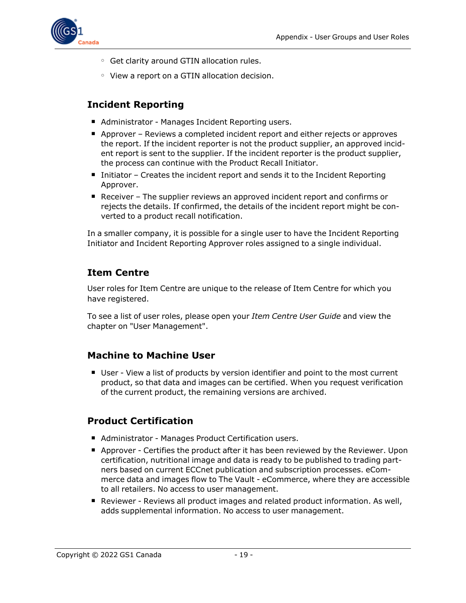

- Get clarity around GTIN allocation rules.
- View a report on a GTIN allocation decision.

# <span id="page-18-0"></span>**Incident Reporting**

- Administrator Manages Incident Reporting users.
- Approver Reviews a completed incident report and either rejects or approves the report. If the incident reporter is not the product supplier, an approved incident report is sent to the supplier. If the incident reporter is the product supplier, the process can continue with the Product Recall Initiator.
- Initiator Creates the incident report and sends it to the Incident Reporting Approver.
- Receiver The supplier reviews an approved incident report and confirms or rejects the details. If confirmed, the details of the incident report might be converted to a product recall notification.

In a smaller company, it is possible for a single user to have the Incident Reporting Initiator and Incident Reporting Approver roles assigned to a single individual.

## <span id="page-18-1"></span>**Item Centre**

User roles for Item Centre are unique to the release of Item Centre for which you have registered.

To see a list of user roles, please open your *Item Centre User Guide* and view the chapter on "User Management".

### <span id="page-18-2"></span>**Machine to Machine User**

■ User - View a list of products by version identifier and point to the most current product, so that data and images can be certified. When you request verification of the current product, the remaining versions are archived.

### <span id="page-18-3"></span>**Product Certification**

- Administrator Manages Product Certification users.
- Approver Certifies the product after it has been reviewed by the Reviewer. Upon certification, nutritional image and data is ready to be published to trading partners based on current ECCnet publication and subscription processes. eCommerce data and images flow to The Vault - eCommerce, where they are accessible to all retailers. No access to user management.
- **n** Reviewer Reviews all product images and related product information. As well, adds supplemental information. No access to user management.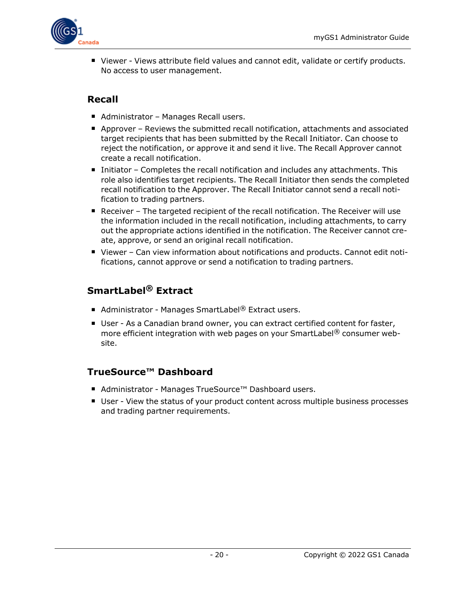

■ Viewer - Views attribute field values and cannot edit, validate or certify products. No access to user management.

# <span id="page-19-0"></span>**Recall**

- Administrator Manages Recall users.
- Approver Reviews the submitted recall notification, attachments and associated target recipients that has been submitted by the Recall Initiator. Can choose to reject the notification, or approve it and send it live. The Recall Approver cannot create a recall notification.
- $\blacksquare$  Initiator Completes the recall notification and includes any attachments. This role also identifies target recipients. The Recall Initiator then sends the completed recall notification to the Approver. The Recall Initiator cannot send a recall notification to trading partners.
- $\blacksquare$  Receiver The targeted recipient of the recall notification. The Receiver will use the information included in the recall notification, including attachments, to carry out the appropriate actions identified in the notification. The Receiver cannot create, approve, or send an original recall notification.
- Viewer Can view information about notifications and products. Cannot edit notifications, cannot approve or send a notification to trading partners.

# <span id="page-19-1"></span>**SmartLabel® Extract**

- Administrator Manages SmartLabel<sup>®</sup> Extract users.
- User As a Canadian brand owner, you can extract certified content for faster, more efficient integration with web pages on your SmartLabel<sup>®</sup> consumer website.

# <span id="page-19-2"></span>**TrueSource™ Dashboard**

- Administrator Manages TrueSource™ Dashboard users.
- User View the status of your product content across multiple business processes and trading partner requirements.